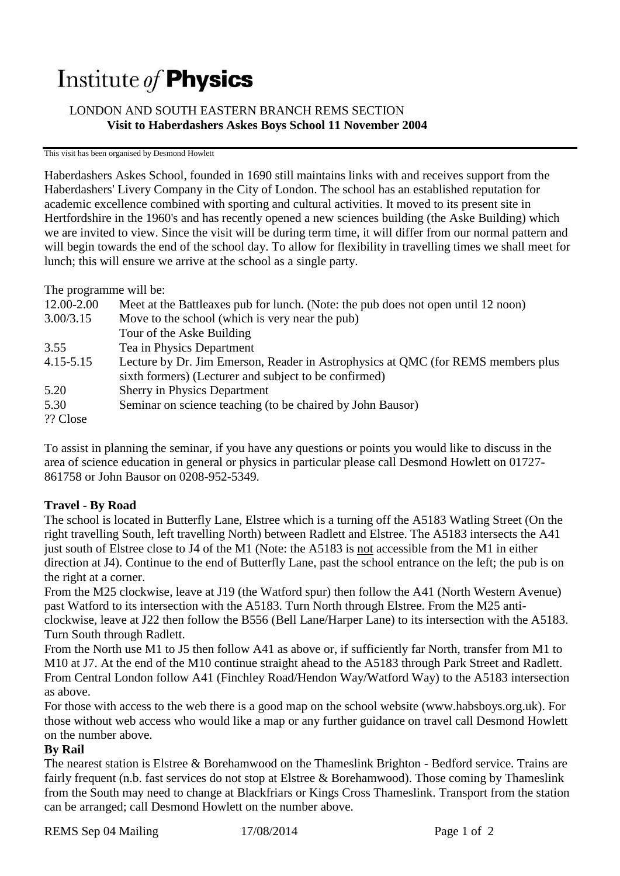# Institute of **Physics**

## LONDON AND SOUTH EASTERN BRANCH REMS SECTION **Visit to Haberdashers Askes Boys School 11 November 2004**

#### This visit has been organised by Desmond Howlett

Haberdashers Askes School, founded in 1690 still maintains links with and receives support from the Haberdashers' Livery Company in the City of London. The school has an established reputation for academic excellence combined with sporting and cultural activities. It moved to its present site in Hertfordshire in the 1960's and has recently opened a new sciences building (the Aske Building) which we are invited to view. Since the visit will be during term time, it will differ from our normal pattern and will begin towards the end of the school day. To allow for flexibility in travelling times we shall meet for lunch; this will ensure we arrive at the school as a single party.

The programme will be:

| 12.00-2.00    | Meet at the Battleaxes pub for lunch. (Note: the pub does not open until 12 noon) |
|---------------|-----------------------------------------------------------------------------------|
| 3.00/3.15     | Move to the school (which is very near the pub)                                   |
|               | Tour of the Aske Building                                                         |
| 3.55          | Tea in Physics Department                                                         |
| $4.15 - 5.15$ | Lecture by Dr. Jim Emerson, Reader in Astrophysics at QMC (for REMS members plus  |
|               | sixth formers) (Lecturer and subject to be confirmed)                             |
| 5.20          | <b>Sherry in Physics Department</b>                                               |
| 5.30          | Seminar on science teaching (to be chaired by John Bausor)                        |
| ?? Close      |                                                                                   |

To assist in planning the seminar, if you have any questions or points you would like to discuss in the area of science education in general or physics in particular please call Desmond Howlett on 01727- 861758 or John Bausor on 0208-952-5349.

## **Travel - By Road**

The school is located in Butterfly Lane, Elstree which is a turning off the A5183 Watling Street (On the right travelling South, left travelling North) between Radlett and Elstree. The A5183 intersects the A41 just south of Elstree close to J4 of the M1 (Note: the A5183 is not accessible from the M1 in either direction at J4). Continue to the end of Butterfly Lane, past the school entrance on the left; the pub is on the right at a corner.

From the M25 clockwise, leave at J19 (the Watford spur) then follow the A41 (North Western Avenue) past Watford to its intersection with the A5183. Turn North through Elstree. From the M25 anticlockwise, leave at J22 then follow the B556 (Bell Lane/Harper Lane) to its intersection with the A5183. Turn South through Radlett.

From the North use M1 to J5 then follow A41 as above or, if sufficiently far North, transfer from M1 to M10 at J7. At the end of the M10 continue straight ahead to the A5183 through Park Street and Radlett. From Central London follow A41 (Finchley Road/Hendon Way/Watford Way) to the A5183 intersection as above.

For those with access to the web there is a good map on the school website (www.habsboys.org.uk). For those without web access who would like a map or any further guidance on travel call Desmond Howlett on the number above.

## **By Rail**

The nearest station is Elstree & Borehamwood on the Thameslink Brighton - Bedford service. Trains are fairly frequent (n.b. fast services do not stop at Elstree & Borehamwood). Those coming by Thameslink from the South may need to change at Blackfriars or Kings Cross Thameslink. Transport from the station can be arranged; call Desmond Howlett on the number above.